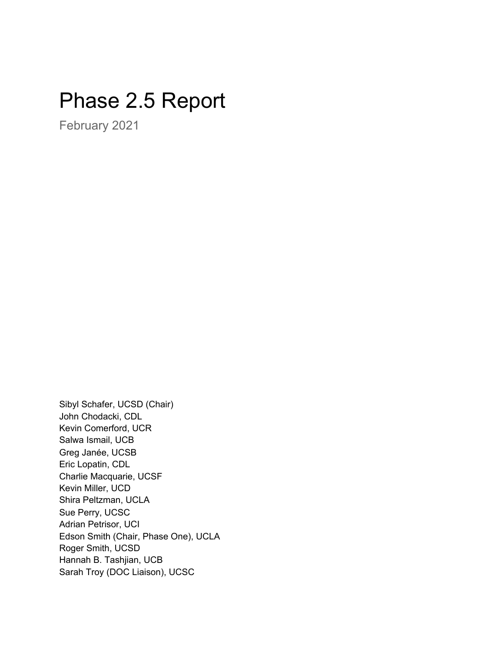# Phase 2.5 Report

February 2021

Sibyl Schafer, UCSD (Chair) John Chodacki, CDL Kevin Comerford, UCR Salwa Ismail, UCB Greg Janée, UCSB Eric Lopatin, CDL Charlie Macquarie, UCSF Kevin Miller, UCD Shira Peltzman, UCLA Sue Perry, UCSC Adrian Petrisor, UCI Edson Smith (Chair, Phase One), UCLA Roger Smith, UCSD Hannah B. Tashjian, UCB Sarah Troy (DOC Liaison), UCSC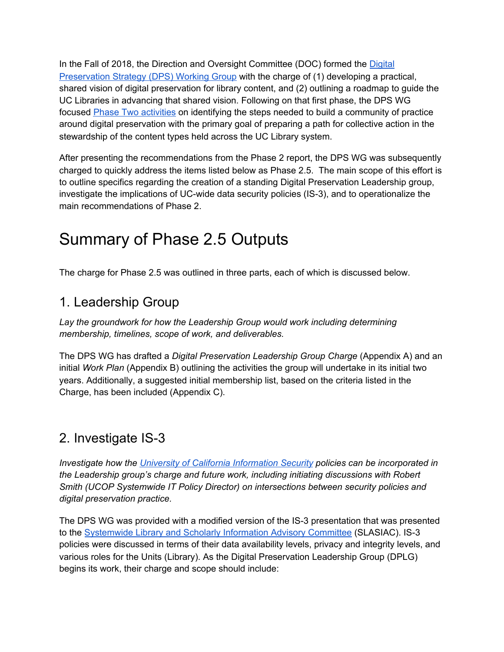In the Fall of 2018, the Direction and Oversight Committee (DOC) formed the [Digital](https://libraries.universityofcalifornia.edu/groups/files/doc/docs/DPS_Phase_One_Report_20190410.pdf) [Preservation](https://libraries.universityofcalifornia.edu/groups/files/doc/docs/DPS_Phase_One_Report_20190410.pdf) Strategy (DPS) Working Group with the charge of (1) developing a practical, shared vision of digital preservation for library content, and (2) outlining a roadmap to guide the UC Libraries in advancing that shared vision. Following on that first phase, the DPS WG focused Phase Two [activities](https://libraries.universityofcalifornia.edu/groups/files/doc/docs/DPS_Phase_Two_Report_20200810.pdf) on identifying the steps needed to build a community of practice around digital preservation with the primary goal of preparing a path for collective action in the stewardship of the content types held across the UC Library system.

After presenting the recommendations from the Phase 2 report, the DPS WG was subsequently charged to quickly address the items listed below as Phase 2.5. The main scope of this effort is to outline specifics regarding the creation of a standing Digital Preservation Leadership group, investigate the implications of UC-wide data security policies (IS-3), and to operationalize the main recommendations of Phase 2.

### Summary of Phase 2.5 Outputs

The charge for Phase 2.5 was outlined in three parts, each of which is discussed below.

### 1. Leadership Group

*Lay the groundwork for how the Leadership Group would work including determining membership, timelines, scope of work, and deliverables.*

The DPS WG has drafted a *Digital Preservation Leadership Group Charge* (Appendix A) and an initial *Work Plan* (Appendix B) outlining the activities the group will undertake in its initial two years. Additionally, a suggested initial membership list, based on the criteria listed in the Charge, has been included (Appendix C).

### 2. Investigate IS-3

*Investigate how the University of California [Information](https://security.ucop.edu/policies/it-policies.html) Security policies can be incorporated in the Leadership group's charge and future work, including initiating discussions with Robert Smith (UCOP Systemwide IT Policy Director) on intersections between security policies and digital preservation practice.*

The DPS WG was provided with a modified version of the IS-3 presentation that was presented to the [Systemwide](https://libraries.universityofcalifornia.edu/slasiac) Library and Scholarly Information Advisory Committee (SLASIAC). IS-3 policies were discussed in terms of their data availability levels, privacy and integrity levels, and various roles for the Units (Library). As the Digital Preservation Leadership Group (DPLG) begins its work, their charge and scope should include: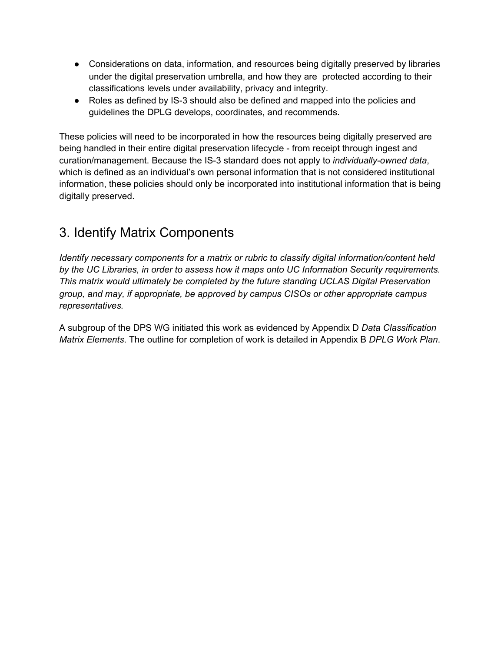- Considerations on data, information, and resources being digitally preserved by libraries under the digital preservation umbrella, and how they are protected according to their classifications levels under availability, privacy and integrity.
- Roles as defined by IS-3 should also be defined and mapped into the policies and guidelines the DPLG develops, coordinates, and recommends.

These policies will need to be incorporated in how the resources being digitally preserved are being handled in their entire digital preservation lifecycle - from receipt through ingest and curation/management. Because the IS-3 standard does not apply to *individually-owned data*, which is defined as an individual's own personal information that is not considered institutional information, these policies should only be incorporated into institutional information that is being digitally preserved.

### 3. Identify Matrix Components

*Identify necessary components for a matrix or rubric to classify digital information/content held by the UC Libraries, in order to assess how it maps onto UC Information Security requirements. This matrix would ultimately be completed by the future standing UCLAS Digital Preservation group, and may, if appropriate, be approved by campus CISOs or other appropriate campus representatives.*

A subgroup of the DPS WG initiated this work as evidenced by Appendix D *Data Classification Matrix Elements*. The outline for completion of work is detailed in Appendix B *DPLG Work Plan*.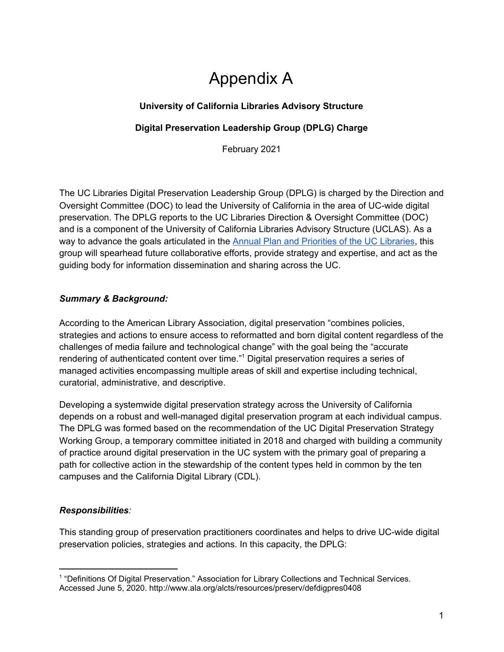## Appendix A

#### **University of California Libraries Advisory Structure**

#### **Digital Preservation Leadership Group (DPLG) Charge**

February 2021

The UC Libraries Digital Preservation Leadership Group (DPLG) is charged by the Direction and Oversight Committee (DOC) to lead the University of California in the area of UC-wide digital preservation. The DPLG reports to the UC Libraries Direction & Oversight Committee (DOC) and is a component of the University of California Libraries Advisory Structure (UCLAS). As a way to advance the goals articulated in the Annual Plan and [Priorities](https://libraries.universityofcalifornia.edu/groups/files/coul/docs/FY20-21_AnnualPlansAndPriorities_Final.pdf) of the UC Libraries, this group will spearhead future collaborative efforts, provide strategy and expertise, and act as the guiding body for information dissemination and sharing across the UC.

#### *Summary & Background:*

According to the American Library Association, digital preservation "combines policies, strategies and actions to ensure access to reformatted and born digital content regardless of the challenges of media failure and technological change" with the goal being the "accurate rendering of authenticated content over time."<sup>1</sup> Digital preservation requires a series of managed activities encompassing multiple areas of skill and expertise including technical, curatorial, administrative, and descriptive.

Developing a systemwide digital preservation strategy across the University of California depends on a robust and well-managed digital preservation program at each individual campus. The DPLG was formed based on the recommendation of the UC Digital Preservation Strategy Working Group, a temporary committee initiated in 2018 and charged with building a community of practice around digital preservation in the UC system with the primary goal of preparing a path for collective action in the stewardship of the content types held in common by the ten campuses and the California Digital Library (CDL).

#### *Responsibilities:*

This standing group of preservation practitioners coordinates and helps to drive UC-wide digital preservation policies, strategies and actions. In this capacity, the DPLG:

<sup>1</sup> "Definitions Of Digital Preservation." Association for Library Collections and Technical Services. Accessed June 5, 2020. http://www.ala.org/alcts/resources/preserv/defdigpres0408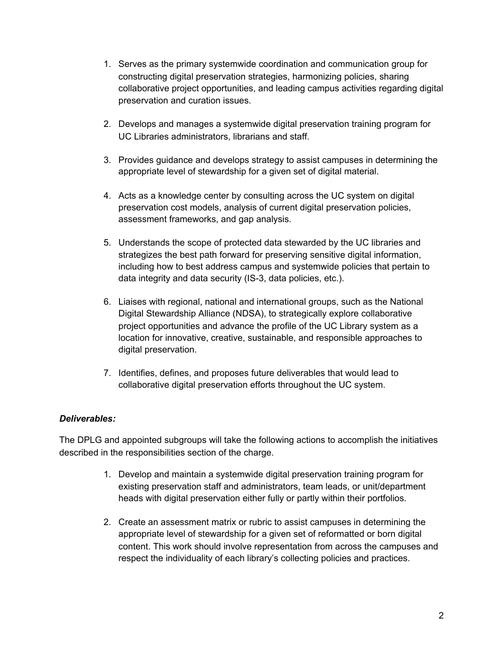- 1. Serves as the primary systemwide coordination and communication group for constructing digital preservation strategies, harmonizing policies, sharing collaborative project opportunities, and leading campus activities regarding digital preservation and curation issues.
- 2. Develops and manages a systemwide digital preservation training program for UC Libraries administrators, librarians and staff.
- 3. Provides guidance and develops strategy to assist campuses in determining the appropriate level of stewardship for a given set of digital material.
- 4. Acts as a knowledge center by consulting across the UC system on digital preservation cost models, analysis of current digital preservation policies, assessment frameworks, and gap analysis.
- 5. Understands the scope of protected data stewarded by the UC libraries and strategizes the best path forward for preserving sensitive digital information, including how to best address campus and systemwide policies that pertain to data integrity and data security (IS-3, data policies, etc.).
- 6. Liaises with regional, national and international groups, such as the National Digital Stewardship Alliance (NDSA), to strategically explore collaborative project opportunities and advance the profile of the UC Library system as a location for innovative, creative, sustainable, and responsible approaches to digital preservation.
- 7. Identifies, defines, and proposes future deliverables that would lead to collaborative digital preservation efforts throughout the UC system.

#### *Deliverables:*

The DPLG and appointed subgroups will take the following actions to accomplish the initiatives described in the responsibilities section of the charge.

- 1. Develop and maintain a systemwide digital preservation training program for existing preservation staff and administrators, team leads, or unit/department heads with digital preservation either fully or partly within their portfolios.
- 2. Create an assessment matrix or rubric to assist campuses in determining the appropriate level of stewardship for a given set of reformatted or born digital content. This work should involve representation from across the campuses and respect the individuality of each library's collecting policies and practices.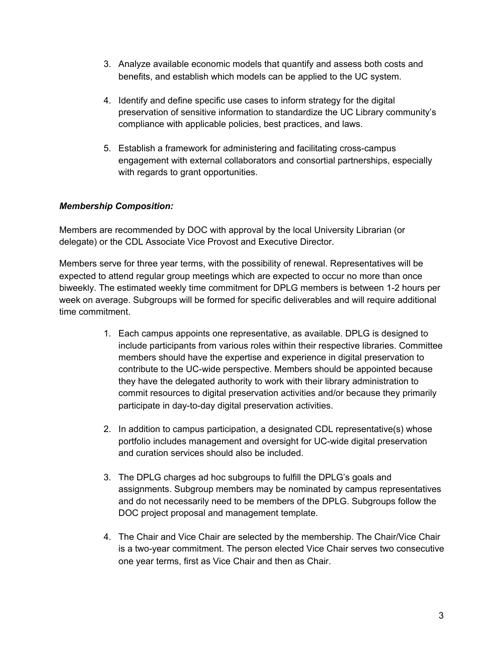- 3. Analyze available economic models that quantify and assess both costs and benefits, and establish which models can be applied to the UC system.
- 4. Identify and define specific use cases to inform strategy for the digital preservation of sensitive information to standardize the UC Library community's compliance with applicable policies, best practices, and laws.
- 5. Establish a framework for administering and facilitating cross-campus engagement with external collaborators and consortial partnerships, especially with regards to grant opportunities.

#### *Membership Composition:*

Members are recommended by DOC with approval by the local University Librarian (or delegate) or the CDL Associate Vice Provost and Executive Director.

Members serve for three year terms, with the possibility of renewal. Representatives will be expected to attend regular group meetings which are expected to occur no more than once biweekly. The estimated weekly time commitment for DPLG members is between 1-2 hours per week on average. Subgroups will be formed for specific deliverables and will require additional time commitment.

- 1. Each campus appoints one representative, as available. DPLG is designed to include participants from various roles within their respective libraries. Committee members should have the expertise and experience in digital preservation to contribute to the UC-wide perspective. Members should be appointed because they have the delegated authority to work with their library administration to commit resources to digital preservation activities and/or because they primarily participate in day-to-day digital preservation activities.
- 2. In addition to campus participation, a designated CDL representative(s) whose portfolio includes management and oversight for UC-wide digital preservation and curation services should also be included.
- 3. The DPLG charges ad hoc subgroups to fulfill the DPLG's goals and assignments. Subgroup members may be nominated by campus representatives and do not necessarily need to be members of the DPLG. Subgroups follow the DOC project proposal and management template.
- 4. The Chair and Vice Chair are selected by the membership. The Chair/Vice Chair is a two-year commitment. The person elected Vice Chair serves two consecutive one year terms, first as Vice Chair and then as Chair.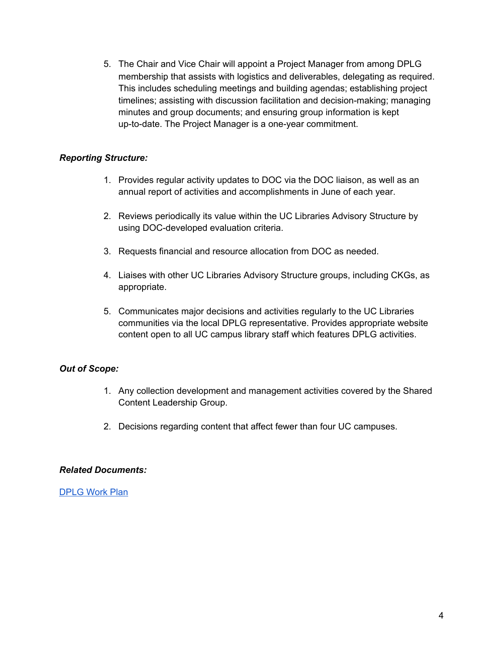5. The Chair and Vice Chair will appoint a Project Manager from among DPLG membership that assists with logistics and deliverables, delegating as required. This includes scheduling meetings and building agendas; establishing project timelines; assisting with discussion facilitation and decision-making; managing minutes and group documents; and ensuring group information is kept up-to-date. The Project Manager is a one-year commitment.

#### *Reporting Structure:*

- 1. Provides regular activity updates to DOC via the DOC liaison, as well as an annual report of activities and accomplishments in June of each year.
- 2. Reviews periodically its value within the UC Libraries Advisory Structure by using DOC-developed evaluation criteria.
- 3. Requests financial and resource allocation from DOC as needed.
- 4. Liaises with other UC Libraries Advisory Structure groups, including CKGs, as appropriate.
- 5. Communicates major decisions and activities regularly to the UC Libraries communities via the local DPLG representative. Provides appropriate website content open to all UC campus library staff which features DPLG activities.

#### *Out of Scope:*

- 1. Any collection development and management activities covered by the Shared Content Leadership Group.
- 2. Decisions regarding content that affect fewer than four UC campuses.

#### *Related Documents:*

[DPLG](https://docs.google.com/document/d/1hEh5vsVLm6yMZRzNEQkB54u1PIo9JabkoEZlHzmuxz0/edit#heading=h.l7b80taf3oi5) Work Plan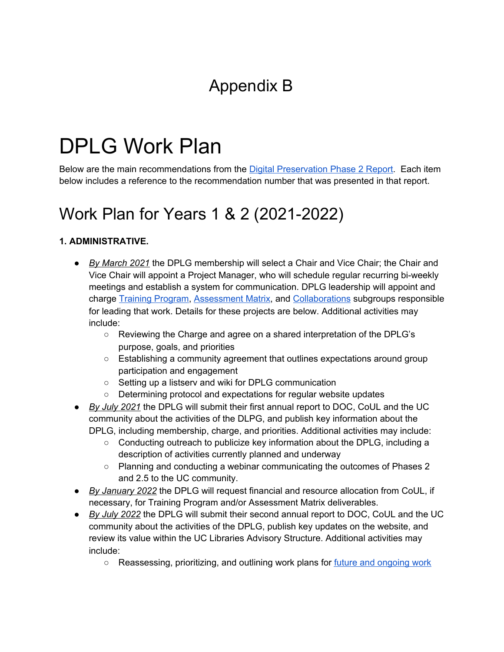# Appendix B

# DPLG Work Plan

Below are the main recommendations from the Digital [Preservation](https://drive.google.com/file/d/14foQ4DcC1nahFFANtvOgHea3ZHJL_MQ8/view?usp=sharing) Phase 2 Report. Each item below includes a reference to the recommendation number that was presented in that report.

### Work Plan for Years 1 & 2 (2021-2022)

#### **1. ADMINISTRATIVE.**

- **●** *By March 2021* the DPLG membership will select a Chair and Vice Chair; the Chair and Vice Chair will appoint a Project Manager, who will schedule regular recurring bi-weekly meetings and establish a system for communication. DPLG leadership will appoint and charge Training [Program,](#page-8-0) [Assessment](#page-8-1) Matrix, and [Collaborations](#page-9-0) subgroups responsible for leading that work. Details for these projects are below. Additional activities may include:
	- Reviewing the Charge and agree on a shared interpretation of the DPLG's purpose, goals, and priorities
	- $\circ$  Establishing a community agreement that outlines expectations around group participation and engagement
	- Setting up a listserv and wiki for DPLG communication
	- Determining protocol and expectations for regular website updates
- *By July 2021* the DPLG will submit their first annual report to DOC, CoUL and the UC community about the activities of the DLPG, and publish key information about the DPLG, including membership, charge, and priorities. Additional activities may include:
	- $\circ$  Conducting outreach to publicize key information about the DPLG, including a description of activities currently planned and underway
	- Planning and conducting a webinar communicating the outcomes of Phases 2 and 2.5 to the UC community.
- *By January 2022* the DPLG will request financial and resource allocation from CoUL, if necessary, for Training Program and/or Assessment Matrix deliverables.
- *● By July 2022* the DPLG will submit their second annual report to DOC, CoUL and the UC community about the activities of the DPLG, publish key updates on the website, and review its value within the UC Libraries Advisory Structure. Additional activities may include:
	- *○* Reassessing, prioritizing, and outlining work plans for future and [ongoing](#page-10-0) work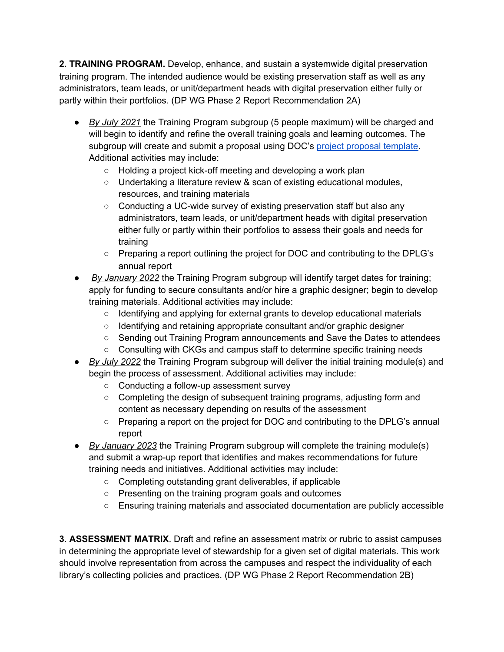<span id="page-8-0"></span>**2. TRAINING PROGRAM.** Develop, enhance, and sustain a systemwide digital preservation training program. The intended audience would be existing preservation staff as well as any administrators, team leads, or unit/department heads with digital preservation either fully or partly within their portfolios. (DP WG Phase 2 Report Recommendation 2A)

- **●** *By July 2021* the Training Program subgroup (5 people maximum) will be charged and will begin to identify and refine the overall training goals and learning outcomes. The subgroup will create and submit a proposal using DOC's project [proposal](https://libraries.universityofcalifornia.edu/groups/files/ckg/docs/UCLAS_Project_Proposal_Template.docx) template. Additional activities may include:
	- **○** Holding a project kick-off meeting and developing a work plan
	- Undertaking a literature review & scan of existing educational modules, resources, and training materials
	- Conducting a UC-wide survey of existing preservation staff but also any administrators, team leads, or unit/department heads with digital preservation either fully or partly within their portfolios to assess their goals and needs for training
	- Preparing a report outlining the project for DOC and contributing to the DPLG's annual report
- *By January 2022* the Training Program subgroup will identify target dates for training; apply for funding to secure consultants and/or hire a graphic designer; begin to develop training materials. Additional activities may include:
	- Identifying and applying for external grants to develop educational materials
	- Identifying and retaining appropriate consultant and/or graphic designer
	- Sending out Training Program announcements and Save the Dates to attendees
	- Consulting with CKGs and campus staff to determine specific training needs
- *● By July 2022* the Training Program subgroup will deliver the initial training module(s) and begin the process of assessment. Additional activities may include:
	- Conducting a follow-up assessment survey
	- Completing the design of subsequent training programs, adjusting form and content as necessary depending on results of the assessment
	- Preparing a report on the project for DOC and contributing to the DPLG's annual report
- *● By January 2023* the Training Program subgroup will complete the training module(s) and submit a wrap-up report that identifies and makes recommendations for future training needs and initiatives. Additional activities may include:
	- Completing outstanding grant deliverables, if applicable
	- Presenting on the training program goals and outcomes
	- Ensuring training materials and associated documentation are publicly accessible

<span id="page-8-1"></span>**3. ASSESSMENT MATRIX**. Draft and refine an assessment matrix or rubric to assist campuses in determining the appropriate level of stewardship for a given set of digital materials. This work should involve representation from across the campuses and respect the individuality of each library's collecting policies and practices. (DP WG Phase 2 Report Recommendation 2B)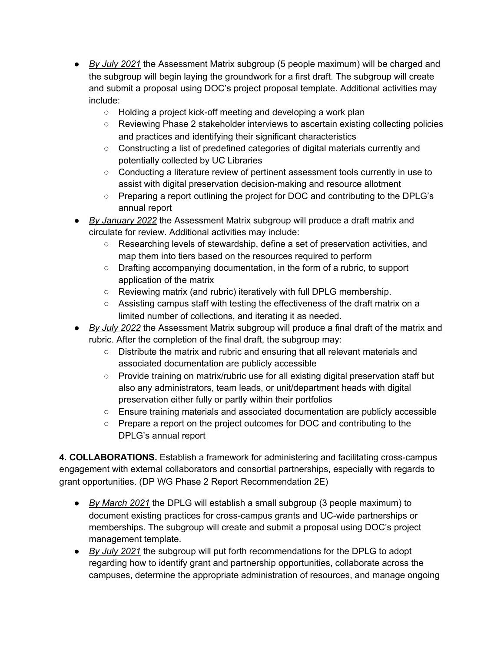- **●** *By July 2021* the Assessment Matrix subgroup (5 people maximum) will be charged and the subgroup will begin laying the groundwork for a first draft. The subgroup will create and submit a proposal using DOC's project proposal template. Additional activities may include:
	- Holding a project kick-off meeting and developing a work plan
	- Reviewing Phase 2 stakeholder interviews to ascertain existing collecting policies and practices and identifying their significant characteristics
	- Constructing a list of predefined categories of digital materials currently and potentially collected by UC Libraries
	- Conducting a literature review of pertinent assessment tools currently in use to assist with digital preservation decision-making and resource allotment
	- Preparing a report outlining the project for DOC and contributing to the DPLG's annual report
- *By January 2022* the Assessment Matrix subgroup will produce a draft matrix and circulate for review. Additional activities may include:
	- Researching levels of stewardship, define a set of preservation activities, and map them into tiers based on the resources required to perform
	- Drafting accompanying documentation, in the form of a rubric, to support application of the matrix
	- Reviewing matrix (and rubric) iteratively with full DPLG membership.
	- $\circ$  Assisting campus staff with testing the effectiveness of the draft matrix on a limited number of collections, and iterating it as needed.
- *● By July 2022* the Assessment Matrix subgroup will produce a final draft of the matrix and rubric. After the completion of the final draft, the subgroup may:
	- Distribute the matrix and rubric and ensuring that all relevant materials and associated documentation are publicly accessible
	- Provide training on matrix/rubric use for all existing digital preservation staff but also any administrators, team leads, or unit/department heads with digital preservation either fully or partly within their portfolios
	- Ensure training materials and associated documentation are publicly accessible
	- Prepare a report on the project outcomes for DOC and contributing to the DPLG's annual report

<span id="page-9-0"></span>**4. COLLABORATIONS.** Establish a framework for administering and facilitating cross-campus engagement with external collaborators and consortial partnerships, especially with regards to grant opportunities. (DP WG Phase 2 Report Recommendation 2E)

- *● By March 2021* the DPLG will establish a small subgroup (3 people maximum) to document existing practices for cross-campus grants and UC-wide partnerships or memberships. The subgroup will create and submit a proposal using DOC's project management template.
- *● By July 2021* the subgroup will put forth recommendations for the DPLG to adopt regarding how to identify grant and partnership opportunities, collaborate across the campuses, determine the appropriate administration of resources, and manage ongoing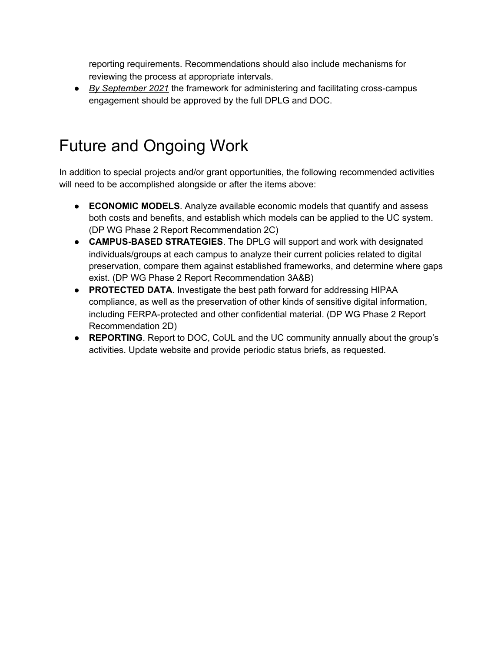reporting requirements. Recommendations should also include mechanisms for reviewing the process at appropriate intervals.

*● By September 2021* the framework for administering and facilitating cross-campus engagement should be approved by the full DPLG and DOC.

## <span id="page-10-0"></span>Future and Ongoing Work

In addition to special projects and/or grant opportunities, the following recommended activities will need to be accomplished alongside or after the items above:

- **ECONOMIC MODELS**. Analyze available economic models that quantify and assess both costs and benefits, and establish which models can be applied to the UC system. (DP WG Phase 2 Report Recommendation 2C)
- **CAMPUS-BASED STRATEGIES**. The DPLG will support and work with designated individuals/groups at each campus to analyze their current policies related to digital preservation, compare them against established frameworks, and determine where gaps exist. (DP WG Phase 2 Report Recommendation 3A&B)
- **PROTECTED DATA**. Investigate the best path forward for addressing HIPAA compliance, as well as the preservation of other kinds of sensitive digital information, including FERPA-protected and other confidential material. (DP WG Phase 2 Report Recommendation 2D)
- **REPORTING**. Report to DOC, CoUL and the UC community annually about the group's activities. Update website and provide periodic status briefs, as requested.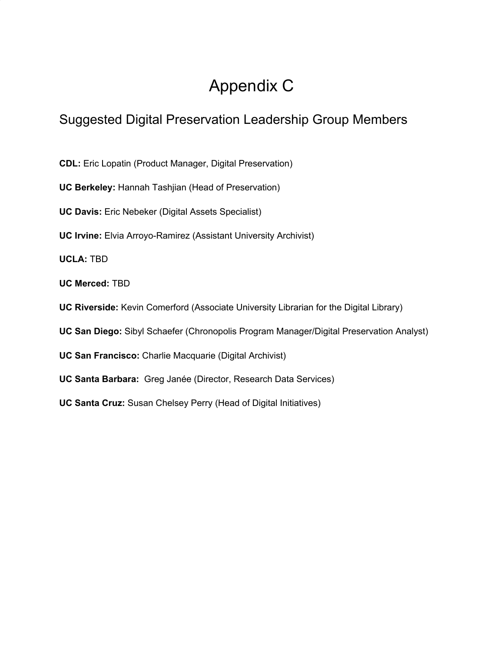# Appendix C

### Suggested Digital Preservation Leadership Group Members

**CDL:** Eric Lopatin (Product Manager, Digital Preservation)

**UC Berkeley:** Hannah Tashjian (Head of Preservation)

**UC Davis:** Eric Nebeker (Digital Assets Specialist)

**UC Irvine:** Elvia Arroyo-Ramirez (Assistant University Archivist)

**UCLA:** TBD

**UC Merced:** TBD

**UC Riverside:** Kevin Comerford (Associate University Librarian for the Digital Library)

**UC San Diego:** Sibyl Schaefer (Chronopolis Program Manager/Digital Preservation Analyst)

**UC San Francisco:** Charlie Macquarie (Digital Archivist)

**UC Santa Barbara:** Greg Janée (Director, Research Data Services)

**UC Santa Cruz:** Susan Chelsey Perry (Head of Digital Initiatives)